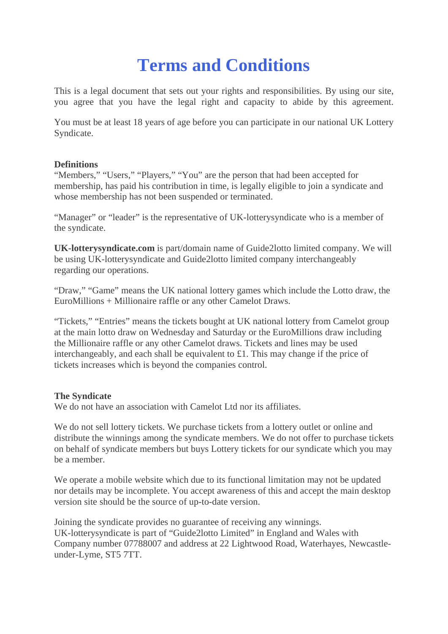# **Terms and Conditions**

This is a legal document that sets out your rights and responsibilities. By using our site, you agree that you have the legal right and capacity to abide by this agreement.

You must be at least 18 years of age before you can participate in our national UK Lottery Syndicate.

## **Definitions**

"Members," "Users," "Players," "You" are the person that had been accepted for membership, has paid his contribution in time, is legally eligible to join a syndicate and whose membership has not been suspended or terminated.

"Manager" or "leader" is the representative of UK-lotterysyndicate who is a member of the syndicate.

**UK-lotterysyndicate.com** is part/domain name of Guide2lotto limited company. We will be using UK-lotterysyndicate and Guide2lotto limited company interchangeably regarding our operations.

"Draw," "Game" means the UK national lottery games which include the Lotto draw, the EuroMillions + Millionaire raffle or any other Camelot Draws.

"Tickets," "Entries" means the tickets bought at UK national lottery from Camelot group at the main lotto draw on Wednesday and Saturday or the EuroMillions draw including the Millionaire raffle or any other Camelot draws. Tickets and lines may be used interchangeably, and each shall be equivalent to  $\pounds$ 1. This may change if the price of tickets increases which is beyond the companies control.

## **The Syndicate**

We do not have an association with Camelot Ltd nor its affiliates.

We do not sell lottery tickets. We purchase tickets from a lottery outlet or online and distribute the winnings among the syndicate members. We do not offer to purchase tickets on behalf of syndicate members but buys Lottery tickets for our syndicate which you may be a member.

We operate a mobile website which due to its functional limitation may not be updated nor details may be incomplete. You accept awareness of this and accept the main desktop version site should be the source of up-to-date version.

Joining the syndicate provides no guarantee of receiving any winnings. UK-lotterysyndicate is part of "Guide2lotto Limited" in England and Wales with Company number 07788007 and address at 22 Lightwood Road, Waterhayes, Newcastle under-Lyme, ST5 7TT.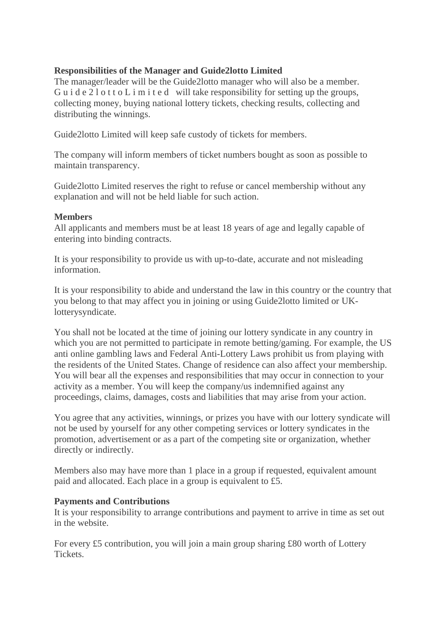## **Responsibilities of the Manager and Guide2lotto Limited**

The manager/leader will be the Guide2lotto manager who will also be a member. Gu i d e 2 l o t t o L i m i t e d will take responsibility for setting up the groups, collecting money, buying national lottery tickets, checking results, collecting and distributing the winnings.

Guide2lotto Limited will keep safe custody of tickets for members.

The company will inform members of ticket numbers bought as soon as possible to maintain transparency.

Guide2lotto Limited reserves the right to refuse or cancel membership without any explanation and will not be held liable for such action.

#### **Members**

All applicants and members must be at least 18 years of age and legally capable of entering into binding contracts.

It is your responsibility to provide us with up-to-date, accurate and not misleading information.

It is your responsibility to abide and understand the law in this country or the country that you belong to that may affect you in joining or using Guide2lotto limited or UKlotterysyndicate.

You shall not be located at the time of joining our lottery syndicate in any country in which you are not permitted to participate in remote betting/gaming. For example, the US anti online gambling laws and Federal Anti-Lottery Laws prohibit us from playing with the residents of the United States. Change of residence can also affect your membership. You will bear all the expenses and responsibilities that may occur in connection to your activity as a member. You will keep the company/us indemnified against any proceedings, claims, damages, costs and liabilities that may arise from your action.

You agree that any activities, winnings, or prizes you have with our lottery syndicate will not be used by yourself for any other competing services or lottery syndicates in the promotion, advertisement or as a part of the competing site or organization, whether directly or indirectly.

Members also may have more than 1 place in a group if requested, equivalent amount paid and allocated. Each place in a group is equivalent to £5.

#### **Payments and Contributions**

It is your responsibility to arrange contributions and payment to arrive in time as set out in the website.

For every £5 contribution, you will join a main group sharing £80 worth of Lottery **Tickets**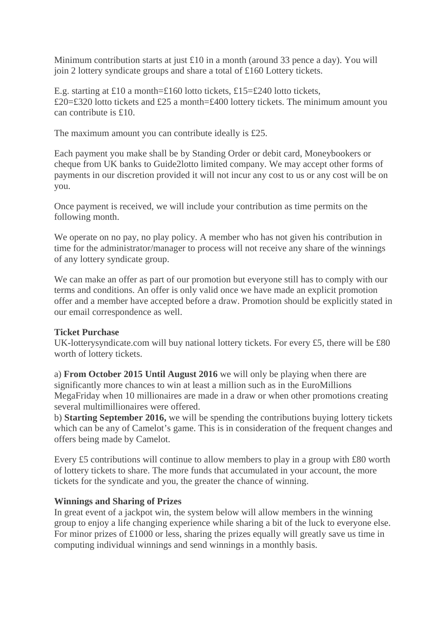Minimum contribution starts at just £10 in a month (around 33 pence a day). You will join 2 lottery syndicate groups and share a total of £160 Lottery tickets.

E.g. starting at £10 a month=£160 lotto tickets, £15=£240 lotto tickets, £20=£320 lotto tickets and £25 a month=£400 lottery tickets. The minimum amount you can contribute is £10.

The maximum amount you can contribute ideally is £25.

Each payment you make shall be by Standing Order or debit card, Moneybookers or cheque from UK banks to Guide2lotto limited company. We may accept other forms of payments in our discretion provided it will not incur any cost to us or any cost will be on you.

Once payment is received, we will include your contribution as time permits on the following month.

We operate on no pay, no play policy. A member who has not given his contribution in time for the administrator/manager to process will not receive any share of the winnings of any lottery syndicate group.

We can make an offer as part of our promotion but everyone still has to comply with our terms and conditions. An offer is only valid once we have made an explicit promotion offer and a member have accepted before a draw. Promotion should be explicitly stated in our email correspondence as well.

## **Ticket Purchase**

UK-lotterysyndicate.com will buy national lottery tickets. For every £5, there will be £80 worth of lottery tickets.

a) **From October 2015 Until August 2016** we will only be playing when there are significantly more chances to win at least a million such as in the EuroMillions MegaFriday when 10 millionaires are made in a draw or when other promotions creating several multimillionaires were offered.

b) **Starting September 2016,** we will be spending the contributions buying lottery tickets which can be any of Camelot's game. This is in consideration of the frequent changes and offers being made by Camelot.

Every £5 contributions will continue to allow members to play in a group with £80 worth of lottery tickets to share. The more funds that accumulated in your account, the more tickets for the syndicate and you, the greater the chance of winning.

## **Winnings and Sharing of Prizes**

In great event of a jackpot win, the system below will allow members in the winning group to enjoy a life changing experience while sharing a bit of the luck to everyone else. For minor prizes of £1000 or less, sharing the prizes equally will greatly save us time in computing individual winnings and send winnings in a monthly basis.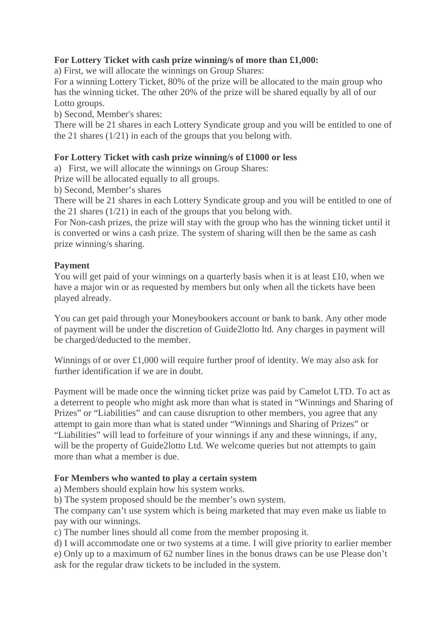# **For Lottery Ticket with cash prize winning/s of more than £1,000:**

a) First, we will allocate the winnings on Group Shares:

For a winning Lottery Ticket, 80% of the prize will be allocated to the main group who has the winning ticket. The other 20% of the prize will be shared equally by all of our Lotto groups.

b) Second, Member's shares:

There will be 21 shares in each Lottery Syndicate group and you will be entitled to one of the 21 shares (1/21) in each of the groups that you belong with.

## **For Lottery Ticket with cash prize winning/s of £1000 or less**

a) First, we will allocate the winnings on Group Shares:

Prize will be allocated equally to all groups.

b) Second, Member's shares

There will be 21 shares in each Lottery Syndicate group and you will be entitled to one of the 21 shares (1/21) in each of the groups that you belong with.

For Non-cash prizes, the prize will stay with the group who has the winning ticket until it is converted or wins a cash prize. The system of sharing will then be the same as cash prize winning/s sharing.

## **Payment**

You will get paid of your winnings on a quarterly basis when it is at least £10, when we have a major win or as requested by members but only when all the tickets have been played already.

You can get paid through your Moneybookers account or bank to bank. Any other mode of payment will be under the discretion of Guide2lotto ltd. Any charges in payment will be charged/deducted to the member.

Winnings of or over £1,000 will require further proof of identity. We may also ask for further identification if we are in doubt.

Payment will be made once the winning ticket prize was paid by Camelot LTD. To act as a deterrent to people who might ask more than what is stated in "Winnings and Sharing of Prizes" or "Liabilities" and can cause disruption to other members, you agree that any attempt to gain more than what is stated under "Winnings and Sharing of Prizes" or "Liabilities" will lead to forfeiture of your winnings if any and these winnings, if any, will be the property of Guide2lotto Ltd. We welcome queries but not attempts to gain more than what a member is due.

# **For Members who wanted to play a certain system**

a) Members should explain how his system works.

b) The system proposed should be the member's own system.

The company can't use system which is being marketed that may even make us liable to pay with our winnings.

c) The number lines should all come from the member proposing it.

d) I will accommodate one or two systems at a time. I will give priority to earlier member e) Only up to a maximum of 62 number lines in the bonus draws can be use Please don't ask for the regular draw tickets to be included in the system.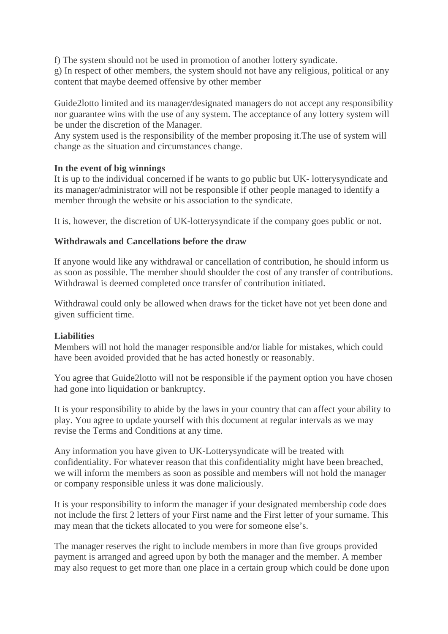f) The system should not be used in promotion of another lottery syndicate. g) In respect of other members, the system should not have any religious, political or any content that maybe deemed offensive by other member

Guide2lotto limited and its manager/designated managers do not accept any responsibility nor guarantee wins with the use of any system. The acceptance of any lottery system will be under the discretion of the Manager.

Any system used is the responsibility of the member proposing it. The use of system will change as the situation and circumstances change.

## **In the event of big winnings**

It is up to the individual concerned if he wants to go public but UK- lotterysyndicate and its manager/administrator will not be responsible if other people managed to identify a member through the website or his association to the syndicate.

It is, however, the discretion of UK-lottery syndicate if the company goes public or not.

## **Withdrawals and Cancellations before the draw**

If anyone would like any withdrawal or cancellation of contribution, he should inform us as soon as possible. The member should shoulder the cost of any transfer of contributions. Withdrawal is deemed completed once transfer of contribution initiated.

Withdrawal could only be allowed when draws for the ticket have not yet been done and given sufficient time.

## **Liabilities**

Members will not hold the manager responsible and/or liable for mistakes, which could have been avoided provided that he has acted honestly or reasonably.

You agree that Guide2lotto will not be responsible if the payment option you have chosen had gone into liquidation or bankruptcy.

It is your responsibility to abide by the laws in your country that can affect your ability to play. You agree to update yourself with this document at regular intervals as we may revise the Terms and Conditions at any time.

Any information you have given to UK-Lotterysyndicate will be treated with confidentiality. For whatever reason that this confidentiality might have been breached, we will inform the members as soon as possible and members will not hold the manager or company responsible unless itwas done maliciously.

It is your responsibility to inform the manager if your designated membership code does not include the first 2 letters of your First name and the First letter of your surname. This may mean that the tickets allocated to you were for someone else's.

The manager reserves the right to include members in more than five groups provided payment is arranged and agreed upon by both the manager and the member. A member may also request to get more than one place in a certain group which could be done upon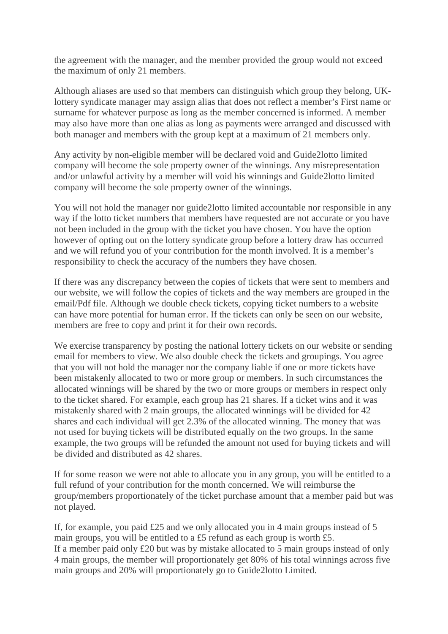the agreement with the manager, and the member provided the group would not exceed the maximum of only 21 members.

Although aliases are used so that members can distinguish which group they belong, UKlottery syndicate manager may assign alias that does not reflect a member's First name or surname for whatever purpose as long as the member concerned is informed. A member may also have more than one alias as long as payments were arranged and discussed with both manager and members with the group kept at a maximum of 21 members only.

Any activity by non-eligible member will be declared void and Guide2lotto limited company will become the sole property owner of the winnings. Any misrepresentation and/or unlawful activity by a member will void his winnings and Guide2lotto limited company will become the sole property owner of the winnings.

You will not hold the manager nor guide2lotto limited accountable nor responsible in any way if the lotto ticket numbers that members have requested are not accurate or you have not been included in the group with the ticket you have chosen. You have the option however of opting out on the lottery syndicate group before a lottery draw has occurred and we will refund you of your contribution for the month involved. It is a member's responsibility to check the accuracy of the numbers they have chosen.

If there was any discrepancy between the copies of tickets that were sent to members and our website, we will follow the copies of tickets and the way members are grouped in the email/Pdf file. Although we double check tickets, copying ticket numbers to a website can have more potential for human error. If the tickets can only be seen on our website, members are free to copy and print it for their own records.

We exercise transparency by posting the national lottery tickets on our website or sending email for members to view. We also double check the tickets and groupings. You agree that you will not hold the manager nor the company liable if one or more tickets have been mistakenly allocated to two or more group or members. In such circumstances the allocated winnings will be shared by the two or more groups or members in respect only to the ticket shared. For example, each group has 21 shares. If a ticket wins and it was mistakenly shared with 2 main groups, the allocated winnings will be divided for 42 shares and each individual will get 2.3% of the allocated winning. The money that was not used for buying tickets will be distributed equally on the two groups. In the same example, the two groups will be refunded the amount not used for buying tickets and will be divided and distributed as 42 shares.

If for some reason we were not able to allocate you in any group, you will be entitled to a full refund of your contribution for the month concerned. We will reimburse the group/members proportionately of the ticket purchase amount that a member paid but was not played.

If, for example, you paid £25 and we only allocated you in 4 main groups instead of 5 main groups, you will be entitled to a £5 refund as each group is worth £5. If a member paid only £20 but was by mistake allocated to 5 main groups instead of only 4 main groups, the member will proportionately get 80% of his total winnings across five main groups and 20% will proportionately go to Guide2lotto Limited.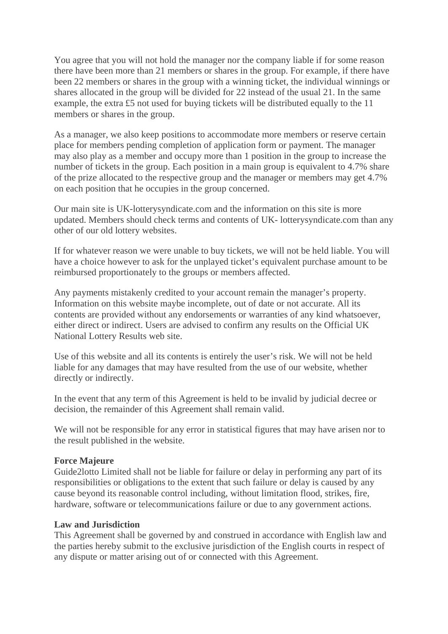You agree that you will not hold the manager nor the company liable if for some reason there have been more than 21 members or shares in the group. For example, if there have been 22 members or shares in the group with a winning ticket, the individual winnings or shares allocated in the group will be divided for 22 instead of the usual 21. In the same example, the extra £5 not used for buying tickets will be distributed equally to the 11 members or shares in the group.

As a manager, we also keep positions to accommodate more members or reserve certain place for members pending completion of application form or payment. The manager may also play as a member and occupy more than 1 position in the group to increase the number of tickets in the group. Each position in a main group is equivalent to 4.7% share of the prize allocated to the respective group and the manager or members may get 4.7% on each position that he occupies in the group concerned.

Our main site is UK-lotterysyndicate.com and the information on this site is more updated. Members should check terms and contents of UK- lotterysyndicate.com than any other of our old lottery websites.

If for whatever reason we were unable to buy tickets, we will not be held liable. You will have a choice however to ask for the unplayed ticket's equivalent purchase amount to be reimbursed proportionately to the groups or members affected.

Any payments mistakenly credited to your account remain the manager's property. Information on this website maybe incomplete, out of date or not accurate. All its contents are provided without any endorsements or warranties of any kind whatsoever, either direct or indirect. Users are advised to confirm any results on the Official UK National Lottery Results web site.

Use of this website and all its contents is entirely the user's risk. We will not be held liable for any damages that may have resulted from the use of our website, whether directly or indirectly.

In the event that any term of this Agreement is held to be invalid by judicial decree or decision, the remainder of this Agreement shall remain valid.

We will not be responsible for any error in statistical figures that may have arisen nor to the result published in the website.

## **Force Majeure**

Guide2lotto Limited shall not be liable for failure or delay in performing any part of its responsibilities or obligations to the extent that such failure or delay is caused by any cause beyond its reasonable control including, without limitation flood, strikes, fire, hardware, software or telecommunications failure or due to any government actions.

#### **Law and Jurisdiction**

This Agreement shall be governed by and construed in accordance with English law and the parties hereby submit to the exclusive jurisdiction of the English courts in respect of any dispute or matter arising out of or connected with this Agreement.